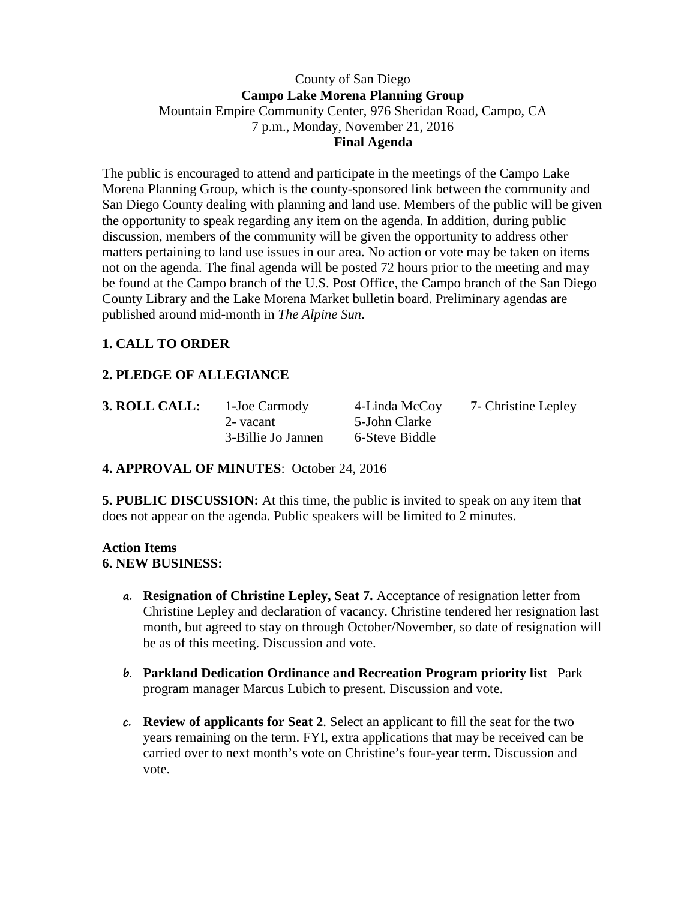## County of San Diego **Campo Lake Morena Planning Group** Mountain Empire Community Center, 976 Sheridan Road, Campo, CA 7 p.m., Monday, November 21, 2016 **Final Agenda**

The public is encouraged to attend and participate in the meetings of the Campo Lake Morena Planning Group, which is the county-sponsored link between the community and San Diego County dealing with planning and land use. Members of the public will be given the opportunity to speak regarding any item on the agenda. In addition, during public discussion, members of the community will be given the opportunity to address other matters pertaining to land use issues in our area. No action or vote may be taken on items not on the agenda. The final agenda will be posted 72 hours prior to the meeting and may be found at the Campo branch of the U.S. Post Office, the Campo branch of the San Diego County Library and the Lake Morena Market bulletin board. Preliminary agendas are published around mid-month in *The Alpine Sun*.

# **1. CALL TO ORDER**

# **2. PLEDGE OF ALLEGIANCE**

| 3. ROLL CALL: | 1-Joe Carmody      | 4-Linda McCoy  | 7- Christine Lepley |
|---------------|--------------------|----------------|---------------------|
|               | 2- vacant          | 5-John Clarke  |                     |
|               | 3-Billie Jo Jannen | 6-Steve Biddle |                     |

# **4. APPROVAL OF MINUTES**: October 24, 2016

**5. PUBLIC DISCUSSION:** At this time, the public is invited to speak on any item that does not appear on the agenda. Public speakers will be limited to 2 minutes.

#### **Action Items 6. NEW BUSINESS:**

- **a. Resignation of Christine Lepley, Seat 7.** Acceptance of resignation letter from Christine Lepley and declaration of vacancy. Christine tendered her resignation last month, but agreed to stay on through October/November, so date of resignation will be as of this meeting. Discussion and vote.
- **b. Parkland Dedication Ordinance and Recreation Program priority list** Park program manager Marcus Lubich to present. Discussion and vote.
- **c. Review of applicants for Seat 2**. Select an applicant to fill the seat for the two years remaining on the term. FYI, extra applications that may be received can be carried over to next month's vote on Christine's four-year term. Discussion and vote.